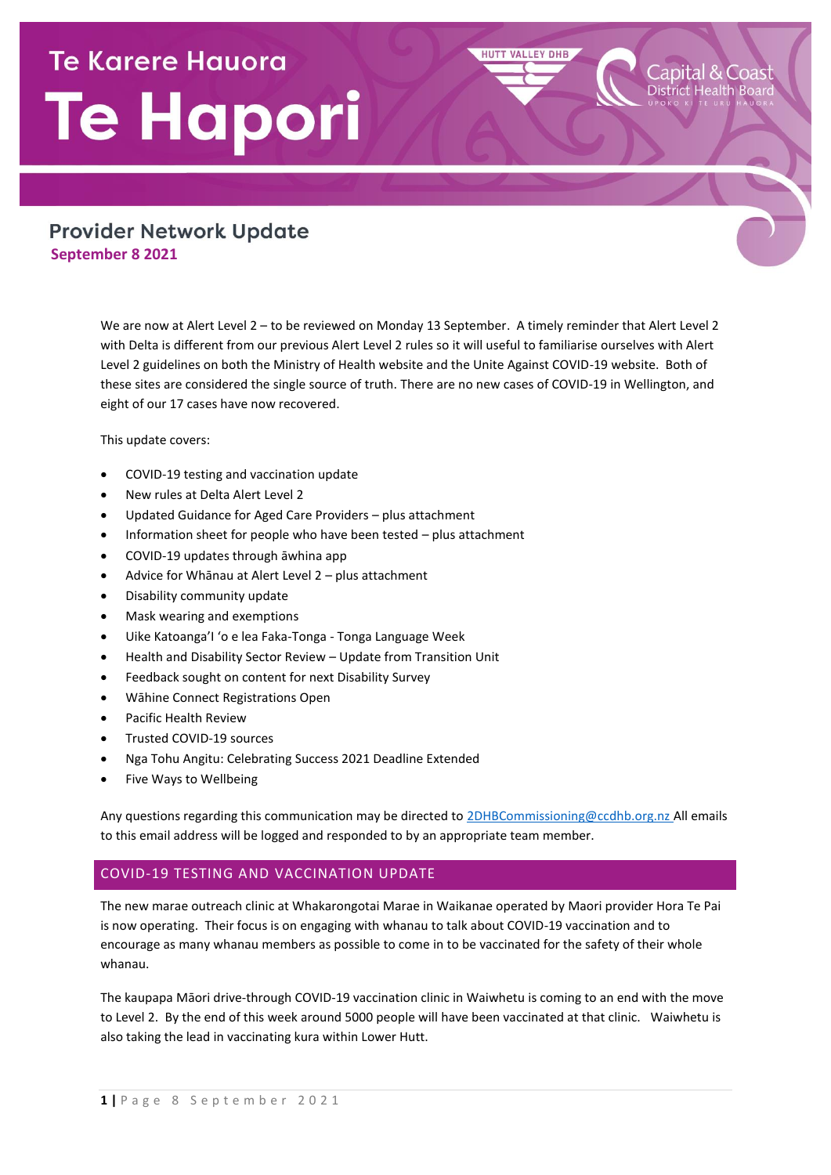# **Te Karere Hauora Te Hapori**

# **Provider Network Update September 8 2021**

We are now at Alert Level 2 – to be reviewed on Monday 13 September. A timely reminder that Alert Level 2 with Delta is different from our previous Alert Level 2 rules so it will useful to familiarise ourselves with Alert Level 2 guidelines on both the Ministry of Health website and the Unite Against COVID-19 website. Both of these sites are considered the single source of truth. There are no new cases of COVID-19 in Wellington, and eight of our 17 cases have now recovered.

**HUTT VALLEY DHB** 

apital & Coast

This update covers:

- COVID-19 testing and vaccination update
- New rules at Delta Alert Level 2
- Updated Guidance for Aged Care Providers plus attachment
- Information sheet for people who have been tested plus attachment
- COVID-19 updates through āwhina app
- Advice for Whānau at Alert Level 2 plus attachment
- Disability community update
- Mask wearing and exemptions
- Uike Katoanga'I 'o e lea Faka-Tonga Tonga Language Week
- Health and Disability Sector Review Update from Transition Unit
- Feedback sought on content for next Disability Survey
- Wāhine Connect Registrations Open
- Pacific Health Review
- Trusted COVID-19 sources
- Nga Tohu Angitu: Celebrating Success 2021 Deadline Extended
- Five Ways to Wellbeing

Any questions regarding this communication may be directed t[o 2DHBCommissioning@ccdhb.org.nz](mailto:2DHBCommissioning@ccdhb.org.nz) All emails to this email address will be logged and responded to by an appropriate team member.

## COVID-19 TESTING AND VACCINATION UPDATE

The new marae outreach clinic at Whakarongotai Marae in Waikanae operated by Maori provider Hora Te Pai is now operating. Their focus is on engaging with whanau to talk about COVID-19 vaccination and to encourage as many whanau members as possible to come in to be vaccinated for the safety of their whole whanau.

The kaupapa Māori drive-through COVID-19 vaccination clinic in Waiwhetu is coming to an end with the move to Level 2. By the end of this week around 5000 people will have been vaccinated at that clinic. Waiwhetu is also taking the lead in vaccinating kura within Lower Hutt.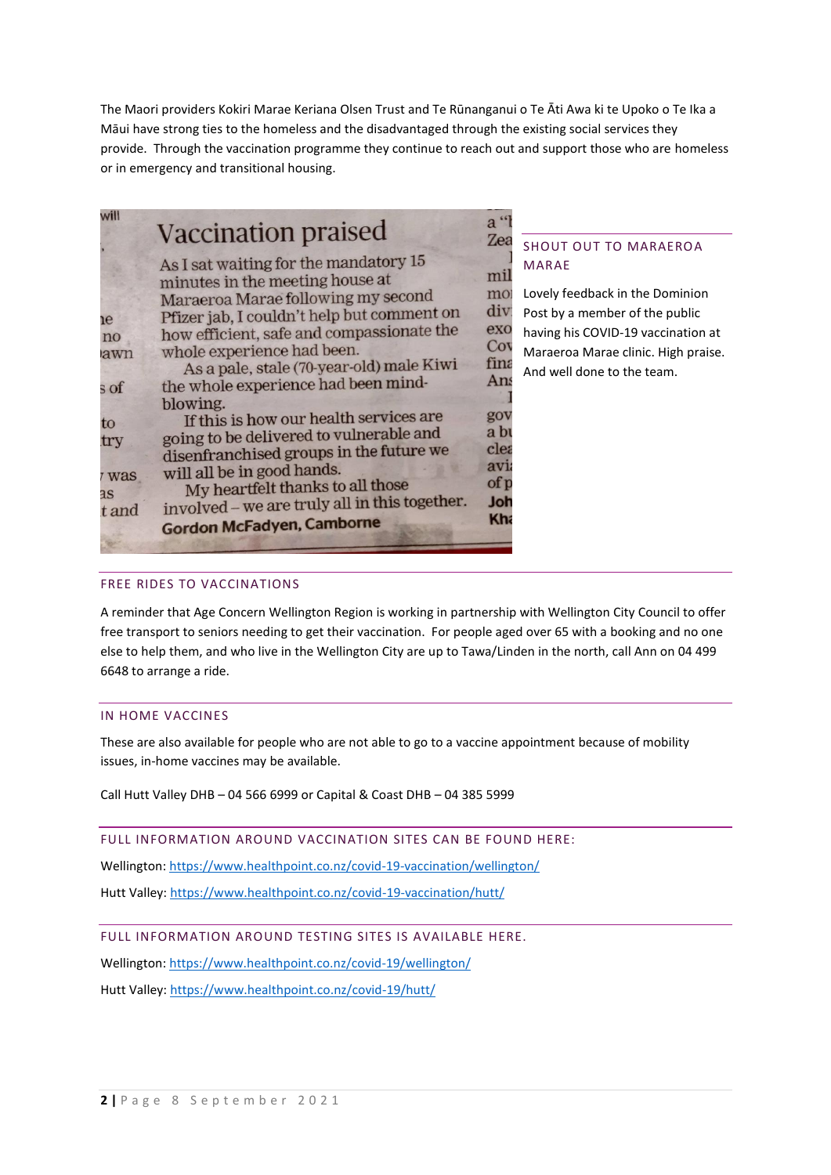The Maori providers Kokiri Marae Keriana Olsen Trust and Te Rūnanganui o Te Āti Awa ki te Upoko o Te Ika a Māui have strong ties to the homeless and the disadvantaged through the existing social services they provide. Through the vaccination programme they continue to reach out and support those who are homeless or in emergency and transitional housing.

| will                      | <b>Vaccination praised</b>                                                                                                                                                                                                                                                          | $a^{\prime\prime}$<br>Zea               | <b>SHOUT OUT TO MARAEROA</b>                                                                                                                                                                 |
|---------------------------|-------------------------------------------------------------------------------------------------------------------------------------------------------------------------------------------------------------------------------------------------------------------------------------|-----------------------------------------|----------------------------------------------------------------------------------------------------------------------------------------------------------------------------------------------|
| ıe<br>no<br>awn           | As I sat waiting for the mandatory 15<br>minutes in the meeting house at<br>Maraeroa Marae following my second<br>Pfizer jab, I couldn't help but comment on<br>how efficient, safe and compassionate the<br>whole experience had been.<br>As a pale, stale (70-year-old) male Kiwi | mil<br>mo<br>div:<br>exo<br>Cov<br>fina | <b>MARAE</b><br>Lovely feedback in the Dominion<br>Post by a member of the public<br>having his COVID-19 vaccination at<br>Maraeroa Marae clinic. High praise.<br>And well done to the team. |
| $\operatorname{S}$ of     | the whole experience had been mind-<br>blowing.                                                                                                                                                                                                                                     | Ans                                     |                                                                                                                                                                                              |
| to<br>try                 | If this is how our health services are<br>going to be delivered to vulnerable and<br>disenfranchised groups in the future we                                                                                                                                                        | gov<br>a bi<br>clea                     |                                                                                                                                                                                              |
| Was<br><b>as</b><br>t and | will all be in good hands.<br>My heartfelt thanks to all those<br>involved - we are truly all in this together.<br><b>Gordon McFadyen, Camborne</b>                                                                                                                                 | avi<br>of p<br>Joh<br>Kha               |                                                                                                                                                                                              |

#### FREE RIDES TO VACCINATIONS

A reminder that Age Concern Wellington Region is working in partnership with Wellington City Council to offer free transport to seniors needing to get their vaccination. For people aged over 65 with a booking and no one else to help them, and who live in the Wellington City are up to Tawa/Linden in the north, call Ann on 04 499 6648 to arrange a ride.

#### IN HOME VACCINES

These are also available for people who are not able to go to a vaccine appointment because of mobility issues, in-home vaccines may be available.

Call Hutt Valley DHB – 04 566 6999 or Capital & Coast DHB – 04 385 5999

FULL INFORMATION AROUND VACCINATION SITES CAN BE FOUND HERE:

Wellington[: https://www.healthpoint.co.nz/covid-19-vaccination/wellington/](https://www.healthpoint.co.nz/covid-19-vaccination/wellington/)

Hutt Valley:<https://www.healthpoint.co.nz/covid-19-vaccination/hutt/>

FULL INFORMATION AROUND TESTING SITES IS AVAILABLE HERE.

Wellington[: https://www.healthpoint.co.nz/covid-19/wellington/](https://www.healthpoint.co.nz/covid-19/wellington/)

Hutt Valley:<https://www.healthpoint.co.nz/covid-19/hutt/>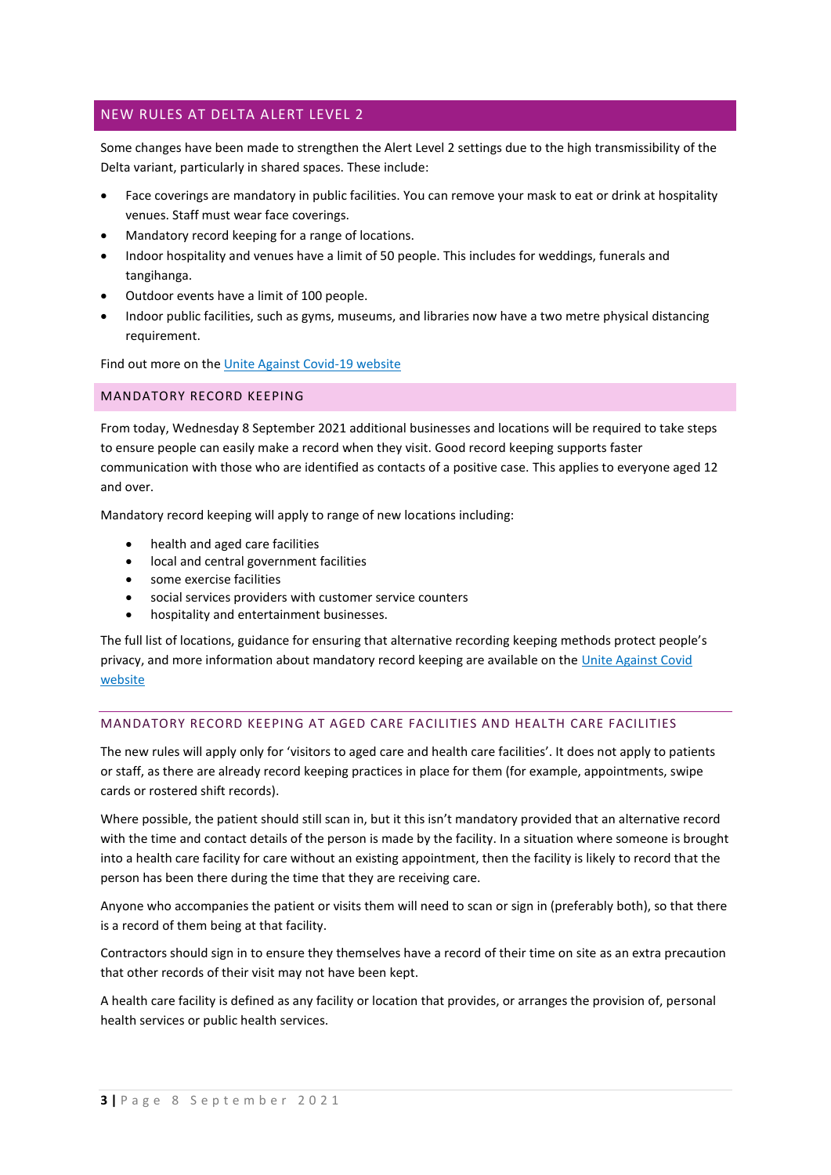# NEW RULES AT DELTA ALERT LEVEL 2

Some changes have been made to strengthen the Alert Level 2 settings due to the high transmissibility of the Delta variant, particularly in shared spaces. These include:

- Face coverings are mandatory in public facilities. You can remove your mask to eat or drink at hospitality venues. Staff must wear face coverings.
- Mandatory record keeping for a range of locations.
- Indoor hospitality and venues have a limit of 50 people. This includes for weddings, funerals and tangihanga.
- Outdoor events have a limit of 100 people.
- Indoor public facilities, such as gyms, museums, and libraries now have a two metre physical distancing requirement.

Find out more on th[e Unite Against Covid-19 website](https://covid19.govt.nz/travel/travelling-across-alert-level-boundaries/personal-travel-permissions-over-an-alert-level-4-and-3-boundary/)

#### MANDATORY RECORD KEEPING

From today, Wednesday 8 September 2021 additional businesses and locations will be required to take steps to ensure people can easily make a record when they visit. Good record keeping supports faster communication with those who are identified as contacts of a positive case. This applies to everyone aged 12 and over.

Mandatory record keeping will apply to range of new locations including:

- health and aged care facilities
- local and central government facilities
- some exercise facilities
- social services providers with customer service counters
- hospitality and entertainment businesses.

The full list of locations, guidance for ensuring that alternative recording keeping methods protect people's privacy, and more information about mandatory record keeping are available on the [Unite Against Covid](https://covid19.govt.nz/business-and-money/businesses/record-keeping-and-contact-tracing/)  [website](https://covid19.govt.nz/business-and-money/businesses/record-keeping-and-contact-tracing/)

#### MANDATORY RECORD KEEPING AT AGED CARE FACILITIES AND HEALTH CARE FACILITIES

The new rules will apply only for 'visitors to aged care and health care facilities'. It does not apply to patients or staff, as there are already record keeping practices in place for them (for example, appointments, swipe cards or rostered shift records).

Where possible, the patient should still scan in, but it this isn't mandatory provided that an alternative record with the time and contact details of the person is made by the facility. In a situation where someone is brought into a health care facility for care without an existing appointment, then the facility is likely to record that the person has been there during the time that they are receiving care.

Anyone who accompanies the patient or visits them will need to scan or sign in (preferably both), so that there is a record of them being at that facility.

Contractors should sign in to ensure they themselves have a record of their time on site as an extra precaution that other records of their visit may not have been kept.

A health care facility is defined as any facility or location that provides, or arranges the provision of, personal health services or public health services.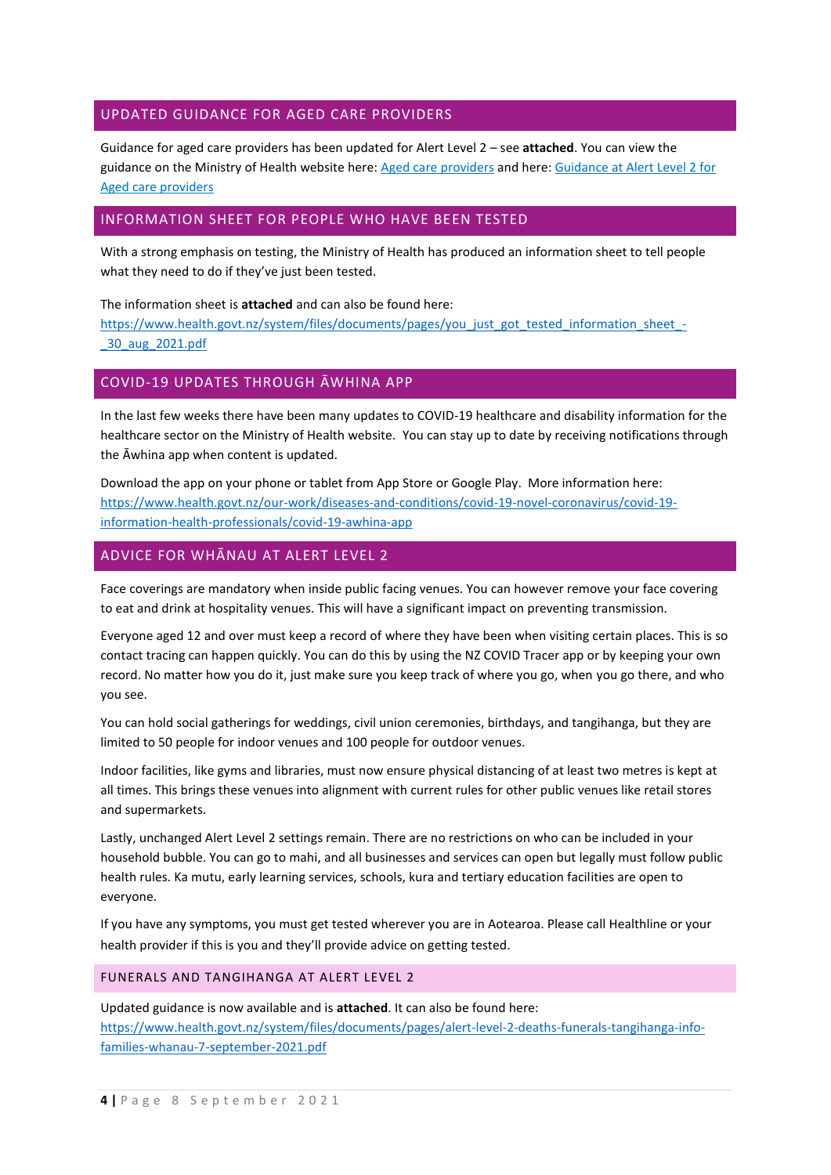# UPDATED GUIDANCE FOR AGED CARE PROVIDERS

Guidance for aged care providers has been updated for Alert Level 2 – see **attached**. You can view the guidance on the Ministry of Health website here: [Aged care providers](https://www.health.govt.nz/our-work/diseases-and-conditions/covid-19-novel-coronavirus/covid-19-information-health-professionals/covid-19-aged-care-disability-and-hospice-providers/covid-19-aged-care-providers) and here: Guidance at Alert Level 2 for [Aged care providers](https://www.health.govt.nz/our-work/diseases-and-conditions/covid-19-novel-coronavirus/covid-19-information-health-professionals/covid-19-aged-care-disability-and-hospice-providers/covid-19-aged-care-providers/guidance-alert-level-2-aged-care-providers)

## INFORMATION SHEET FOR PEOPLE WHO HAVE BEEN TESTED

With a strong emphasis on testing, the Ministry of Health has produced an information sheet to tell people what they need to do if they've just been tested.

The information sheet is **attached** and can also be found here: [https://www.health.govt.nz/system/files/documents/pages/you\\_just\\_got\\_tested\\_information\\_sheet\\_-](https://www.health.govt.nz/system/files/documents/pages/you_just_got_tested_information_sheet_-_30_aug_2021.pdf) [\\_30\\_aug\\_2021.pdf](https://www.health.govt.nz/system/files/documents/pages/you_just_got_tested_information_sheet_-_30_aug_2021.pdf)

# COVID-19 UPDATES THROUGH ĀWHINA APP

In the last few weeks there have been many updates to COVID-19 healthcare and disability information for the healthcare sector on the Ministry of Health website. You can stay up to date by receiving notifications through the Āwhina app when content is updated.

Download the app on your phone or tablet from App Store or Google Play. More information here: [https://www.health.govt.nz/our-work/diseases-and-conditions/covid-19-novel-coronavirus/covid-19](https://www.health.govt.nz/our-work/diseases-and-conditions/covid-19-novel-coronavirus/covid-19-information-health-professionals/covid-19-awhina-app) [information-health-professionals/covid-19-awhina-app](https://www.health.govt.nz/our-work/diseases-and-conditions/covid-19-novel-coronavirus/covid-19-information-health-professionals/covid-19-awhina-app)

# ADVICE FOR WHĀNAU AT ALERT LEVEL 2

Face coverings are mandatory when inside public facing venues. You can however remove your face covering to eat and drink at hospitality venues. This will have a significant impact on preventing transmission.

Everyone aged 12 and over must keep a record of where they have been when visiting certain places. This is so contact tracing can happen quickly. You can do this by using the NZ COVID Tracer app or by keeping your own record. No matter how you do it, just make sure you keep track of where you go, when you go there, and who you see.

You can hold social gatherings for weddings, civil union ceremonies, birthdays, and tangihanga, but they are limited to 50 people for indoor venues and 100 people for outdoor venues.

Indoor facilities, like gyms and libraries, must now ensure physical distancing of at least two metres is kept at all times. This brings these venues into alignment with current rules for other public venues like retail stores and supermarkets.

Lastly, unchanged Alert Level 2 settings remain. There are no restrictions on who can be included in your household bubble. You can go to mahi, and all businesses and services can open but legally must follow public health rules. Ka mutu, early learning services, schools, kura and tertiary education facilities are open to everyone.

If you have any symptoms, you must get tested wherever you are in Aotearoa. Please call Healthline or your health provider if this is you and they'll provide advice on getting tested.

#### FUNERALS AND TANGIHANGA AT ALERT LEVEL 2

Updated guidance is now available and is **attached**. It can also be found here: [https://www.health.govt.nz/system/files/documents/pages/alert-level-2-deaths-funerals-tangihanga-info](https://www.health.govt.nz/system/files/documents/pages/alert-level-2-deaths-funerals-tangihanga-info-families-whanau-7-september-2021.pdf)[families-whanau-7-september-2021.pdf](https://www.health.govt.nz/system/files/documents/pages/alert-level-2-deaths-funerals-tangihanga-info-families-whanau-7-september-2021.pdf)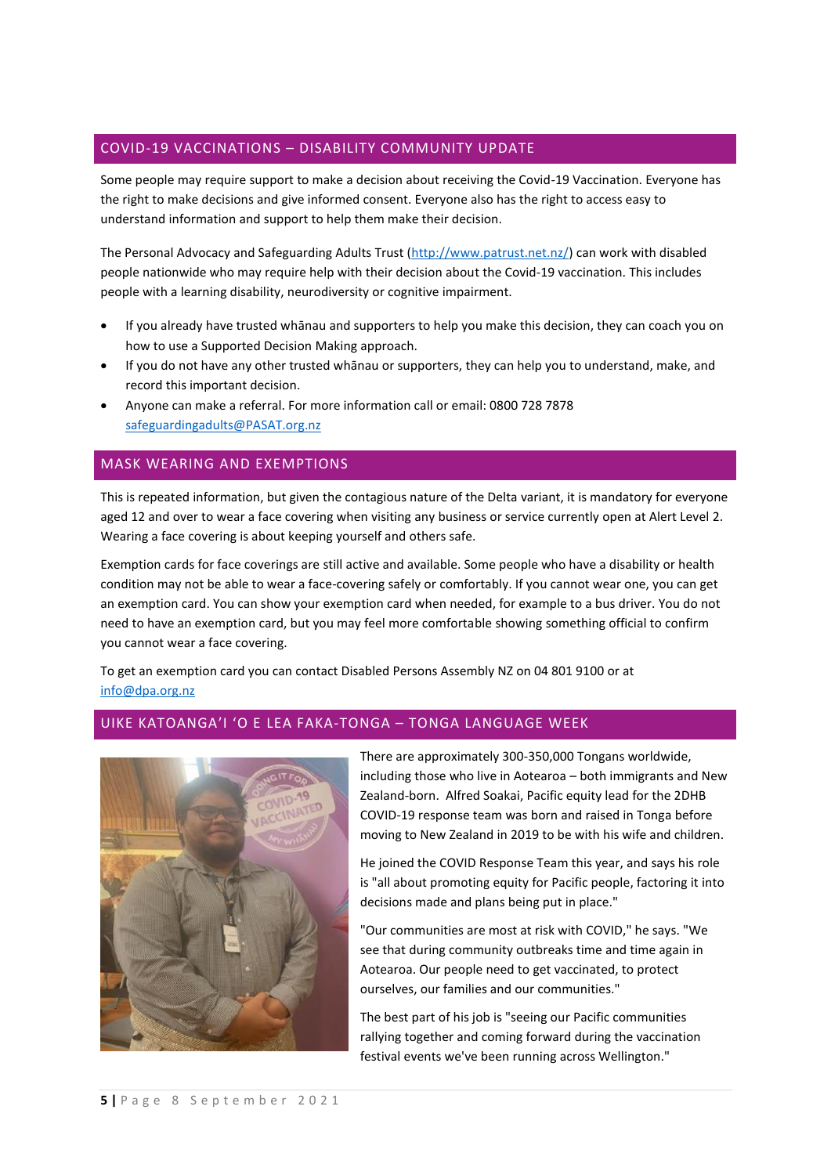# COVID-19 VACCINATIONS – DISABILITY COMMUNITY UPDATE

Some people may require support to make a decision about receiving the Covid-19 Vaccination. Everyone has the right to make decisions and give informed consent. Everyone also has the right to access easy to understand information and support to help them make their decision.

The Personal Advocacy and Safeguarding Adults Trust [\(http://www.patrust.net.nz/\)](https://urldefense.com/v3/__http:/www.patrust.net.nz/__;!!A3teau8g8Q!EBt0NwoYRFYh9N66D8w_qyCzbjIppPg9nxJsjzPkdYxX_V__GmtZdhQfER5odIKJ453C$) can work with disabled people nationwide who may require help with their decision about the Covid-19 vaccination. This includes people with a learning disability, neurodiversity or cognitive impairment.

- If you already have trusted whānau and supporters to help you make this decision, they can coach you on how to use a Supported Decision Making approach.
- If you do not have any other trusted whānau or supporters, they can help you to understand, make, and record this important decision.
- Anyone can make a referral. For more information call or email: 0800 728 7878 [safeguardingadults@PASAT.org.nz](mailto:safeguardingadults@PASAT.org.nz)

## MASK WEARING AND EXEMPTIONS

This is repeated information, but given the contagious nature of the Delta variant, it is mandatory for everyone aged 12 and over to wear a face covering when visiting any business or service currently open at Alert Level 2. Wearing a face covering is about keeping yourself and others safe.

Exemption cards for face coverings are still active and available. Some people who have a disability or health condition may not be able to wear a face-covering safely or comfortably. If you cannot wear one, you can get an exemption card. You can show your exemption card when needed, for example to a bus driver. You do not need to have an exemption card, but you may feel more comfortable showing something official to confirm you cannot wear a face covering.

To get an exemption card you can contact Disabled Persons Assembly NZ on 04 801 9100 or at [info@dpa.org.nz](mailto:info@dpa.org.nz)

# UIKE KATOANGA'I 'O E LEA FAKA-TONGA – TONGA LANGUAGE WEEK



There are approximately 300-350,000 Tongans worldwide, including those who live in Aotearoa – both immigrants and New Zealand-born. Alfred Soakai, Pacific equity lead for the 2DHB COVID-19 response team was born and raised in Tonga before moving to New Zealand in 2019 to be with his wife and children.

He joined the COVID Response Team this year, and says his role is "all about promoting equity for Pacific people, factoring it into decisions made and plans being put in place."

"Our communities are most at risk with COVID," he says. "We see that during community outbreaks time and time again in Aotearoa. Our people need to get vaccinated, to protect ourselves, our families and our communities."

The best part of his job is "seeing our Pacific communities rallying together and coming forward during the vaccination festival events we've been running across Wellington."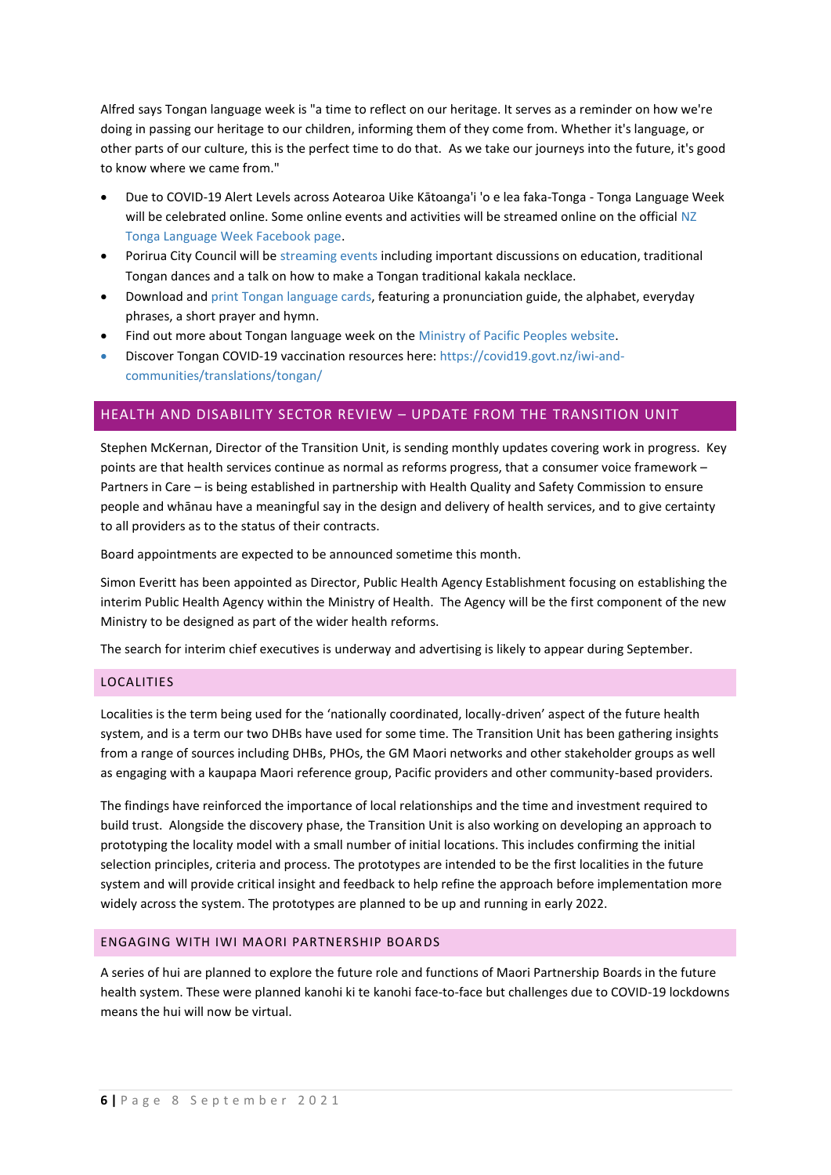Alfred says Tongan language week is "a time to reflect on our heritage. It serves as a reminder on how we're doing in passing our heritage to our children, informing them of they come from. Whether it's language, or other parts of our culture, this is the perfect time to do that. As we take our journeys into the future, it's good to know where we came from."

- Due to COVID-19 Alert Levels across Aotearoa Uike Kātoanga'i 'o e lea faka-Tonga Tonga Language Week will be celebrated online. Some online events and activities will be streamed online on the official NZ [Tonga Language Week Facebook page.](https://www.facebook.com/nztongalanguageweek)
- Porirua City Council will be [streaming events](https://www.facebook.com/PCC.PoriruaCityCouncil) including important discussions on education, traditional Tongan dances and a talk on how to make a Tongan traditional kakala necklace.
- Download and print [Tongan language cards,](https://www.mpp.govt.nz/assets/Pacific-Language-Cards/Lea-Faka-Tonga-Language-Cards.pdf) featuring a pronunciation guide, the alphabet, everyday phrases, a short prayer and hymn.
- Find out more about Tongan language week on the [Ministry of Pacific Peoples website.](https://www.mpp.govt.nz/programmes/pacific-language-weeks/tonga-language-week-2021/)
- Discover Tongan [COVID-19 vaccination resources](https://covid19.govt.nz/iwi-and-communities/translations/tongan/) here: https://covid19.govt.nz/iwi-andcommunities/translations/tongan/

# HEALTH AND DISABILITY SECTOR REVIEW – UPDATE FROM THE TRANSITION UNIT

Stephen McKernan, Director of the Transition Unit, is sending monthly updates covering work in progress. Key points are that health services continue as normal as reforms progress, that a consumer voice framework – Partners in Care – is being established in partnership with Health Quality and Safety Commission to ensure people and whānau have a meaningful say in the design and delivery of health services, and to give certainty to all providers as to the status of their contracts.

Board appointments are expected to be announced sometime this month.

Simon Everitt has been appointed as Director, Public Health Agency Establishment focusing on establishing the interim Public Health Agency within the Ministry of Health. The Agency will be the first component of the new Ministry to be designed as part of the wider health reforms.

The search for interim chief executives is underway and advertising is likely to appear during September.

#### LOCALITIES

Localities is the term being used for the 'nationally coordinated, locally-driven' aspect of the future health system, and is a term our two DHBs have used for some time. The Transition Unit has been gathering insights from a range of sources including DHBs, PHOs, the GM Maori networks and other stakeholder groups as well as engaging with a kaupapa Maori reference group, Pacific providers and other community-based providers.

The findings have reinforced the importance of local relationships and the time and investment required to build trust. Alongside the discovery phase, the Transition Unit is also working on developing an approach to prototyping the locality model with a small number of initial locations. This includes confirming the initial selection principles, criteria and process. The prototypes are intended to be the first localities in the future system and will provide critical insight and feedback to help refine the approach before implementation more widely across the system. The prototypes are planned to be up and running in early 2022.

#### ENGAGING WITH IWI MAORI PARTNERSHIP BOARDS

A series of hui are planned to explore the future role and functions of Maori Partnership Boards in the future health system. These were planned kanohi ki te kanohi face-to-face but challenges due to COVID-19 lockdowns means the hui will now be virtual.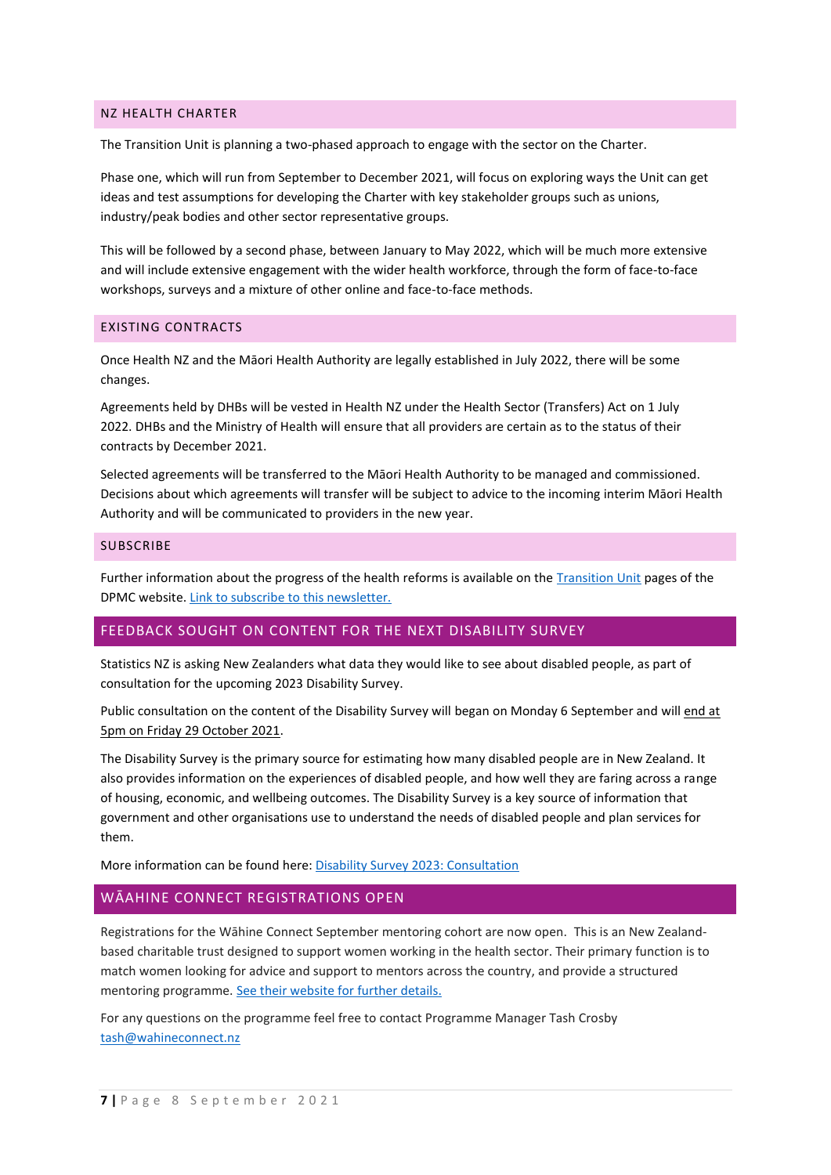#### NZ HEALTH CHARTER

The Transition Unit is planning a two-phased approach to engage with the sector on the Charter.

Phase one, which will run from September to December 2021, will focus on exploring ways the Unit can get ideas and test assumptions for developing the Charter with key stakeholder groups such as unions, industry/peak bodies and other sector representative groups.

This will be followed by a second phase, between January to May 2022, which will be much more extensive and will include extensive engagement with the wider health workforce, through the form of face-to-face workshops, surveys and a mixture of other online and face-to-face methods.

#### EXISTING CONTRACTS

Once Health NZ and the Māori Health Authority are legally established in July 2022, there will be some changes.

Agreements held by DHBs will be vested in Health NZ under the Health Sector (Transfers) Act on 1 July 2022. DHBs and the Ministry of Health will ensure that all providers are certain as to the status of their contracts by December 2021.

Selected agreements will be transferred to the Māori Health Authority to be managed and commissioned. Decisions about which agreements will transfer will be subject to advice to the incoming interim Māori Health Authority and will be communicated to providers in the new year.

#### **SUBSCRIBE**

Further information about the progress of the health reforms is available on the [Transition Unit](https://urldefense.com/v3/__https:/dpmc.govt.nz/our-business-units/transition-unit/response-health-and-disability-system-review__;!!A3teau8g8Q!HoJA5LbHA_tqioz-SKgMs8pUB05PQyguBPsNrk7CeDTkMJ0e6MdHpzik92Jc0WODPvGt$) pages of the DPMC website. [Link to subscribe to this newsletter.](https://urldefense.com/v3/__https:/mailchi.mp/bb1f7117187e/transition-unit-updates__;!!A3teau8g8Q!HoJA5LbHA_tqioz-SKgMs8pUB05PQyguBPsNrk7CeDTkMJ0e6MdHpzik92Jc0RZe09A-$)

## FEEDBACK SOUGHT ON CONTENT FOR THE NEXT DISABILITY SURVEY

Statistics NZ is asking New Zealanders what data they would like to see about disabled people, as part of consultation for the upcoming 2023 Disability Survey.

Public consultation on the content of the Disability Survey will began on Monday 6 September and will end at 5pm on Friday 29 October 2021.

The Disability Survey is the primary source for estimating how many disabled people are in New Zealand. It also provides information on the experiences of disabled people, and how well they are faring across a range of housing, economic, and wellbeing outcomes. The Disability Survey is a key source of information that government and other organisations use to understand the needs of disabled people and plan services for them.

More information can be found here: [Disability Survey 2023: Consultation](https://www.stats.govt.nz/consultations/disability-survey-2023-consultation)

#### WĀAHINE CONNECT REGISTRATIONS OPEN

Registrations for the Wāhine Connect September mentoring cohort are now open. This is an New Zealandbased charitable trust designed to support women working in the health sector. Their primary function is to match women looking for advice and support to mentors across the country, and provide a structured mentoring programme[. See their website for further details.](https://www.wahineconnect.nz/join-us)

For any questions on the programme feel free to contact Programme Manager Tash Crosby [tash@wahineconnect.nz](mailto:tash@wahineconnect.nz)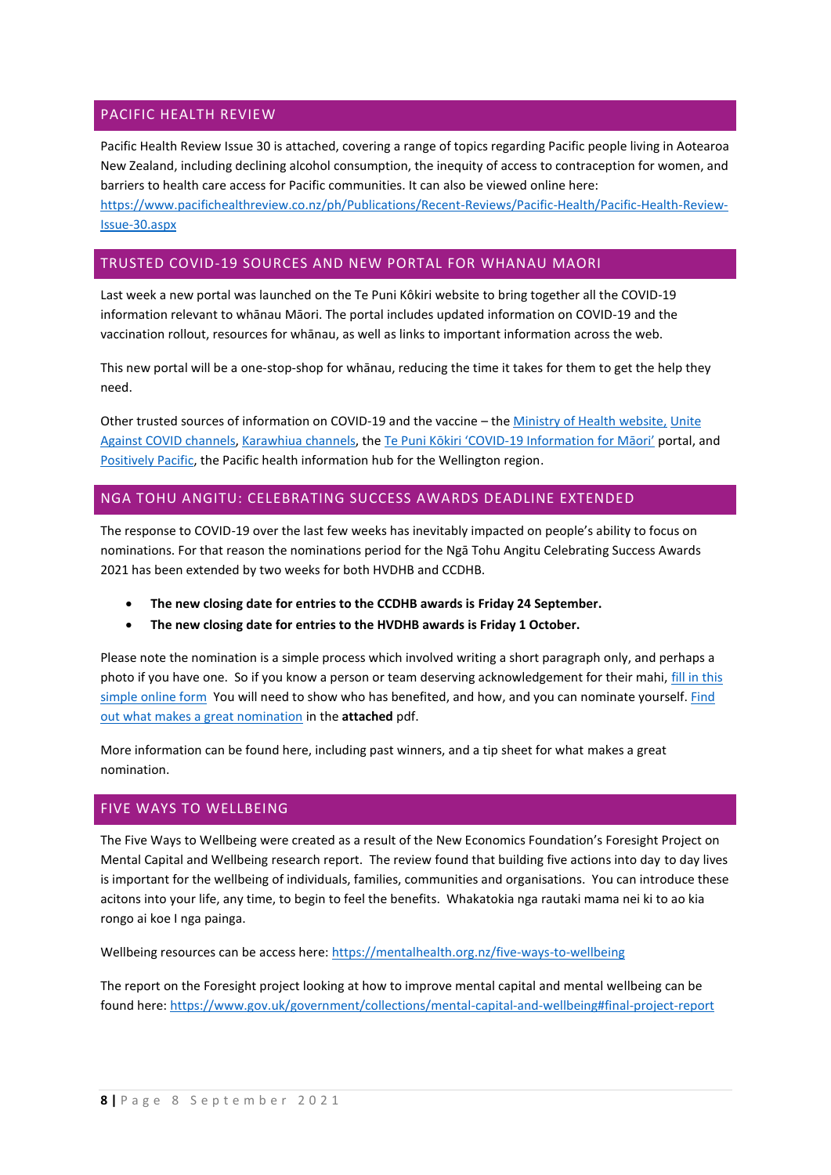# PACIFIC HEALTH REVIEW

Pacific Health Review Issue 30 is attached, covering a range of topics regarding Pacific people living in Aotearoa New Zealand, including declining alcohol consumption, the inequity of access to contraception for women, and barriers to health care access for Pacific communities. It can also be viewed online here: [https://www.pacifichealthreview.co.nz/ph/Publications/Recent-Reviews/Pacific-Health/Pacific-Health-Review-](https://www.pacifichealthreview.co.nz/ph/Publications/Recent-Reviews/Pacific-Health/Pacific-Health-Review-Issue-30.aspx)[Issue-30.aspx](https://www.pacifichealthreview.co.nz/ph/Publications/Recent-Reviews/Pacific-Health/Pacific-Health-Review-Issue-30.aspx)

## TRUSTED COVID-19 SOURCES AND NEW PORTAL FOR WHANAU MAORI

Last week [a new portal was launched on the Te Puni Kôkiri website](https://urldefense.com/v3/__https:/www.tpk.govt.nz/en/whakamahia/covid-19-information-for-maori__;!!A3teau8g8Q!Av2Rx9w9N6nxQFefjmuNSvXXv-_lvV6SNNUjHN5DG7l7E799F3HSP0O_on1eLJNodLpM$) to bring together all the COVID-19 information relevant to whānau Māori. The portal includes updated information on COVID-19 and the vaccination rollout, resources for whānau, as well as links to important information across the web.

This new portal will be a one-stop-shop for whānau, reducing the time it takes for them to get the help they need.

Other trusted sources of information on COVID-19 and the vaccine – the [Ministry of Health](https://urldefense.com/v3/__https:/www.health.govt.nz/our-work/diseases-and-conditions/covid-19-novel-coronavirus?mega=Our*20work&title=COVID-19__;JQ!!A3teau8g8Q!Ak3kQjLMHc3kqKKrx_Awr7vmEdSr1IEweKkosw4fxqi3bqhES2oaSm8_Z4UUsz-SGXHI$) website, [Unite](https://urldefense.com/v3/__https:/covid19.govt.nz/__;!!A3teau8g8Q!Ak3kQjLMHc3kqKKrx_Awr7vmEdSr1IEweKkosw4fxqi3bqhES2oaSm8_Z4UUswa43-Me$)  [Against COVID](https://urldefense.com/v3/__https:/covid19.govt.nz/__;!!A3teau8g8Q!Ak3kQjLMHc3kqKKrx_Awr7vmEdSr1IEweKkosw4fxqi3bqhES2oaSm8_Z4UUswa43-Me$) channels[, Karawhiua](https://urldefense.com/v3/__https:/karawhiua.nz/__;!!A3teau8g8Q!Ak3kQjLMHc3kqKKrx_Awr7vmEdSr1IEweKkosw4fxqi3bqhES2oaSm8_Z4UUs7XEc5cX$) channels, the [Te Puni Kōkiri 'COVID](https://urldefense.com/v3/__https:/www.tpk.govt.nz/en/whakamahia/covid-19-information-for-maori__;!!A3teau8g8Q!Ak3kQjLMHc3kqKKrx_Awr7vmEdSr1IEweKkosw4fxqi3bqhES2oaSm8_Z4UUs_q-vGqf$)-19 Information for Māori' portal, and [Positively Pacific,](https://positivelypacific.org.nz/) the Pacific health information hub for the Wellington region.

## NGA TOHU ANGITU: CELEBRATING SUCCESS AWARDS DEADLINE EXTENDED

The response to COVID-19 over the last few weeks has inevitably impacted on people's ability to focus on nominations. For that reason the nominations period for the Ngā Tohu Angitu Celebrating Success Awards 2021 has been extended by two weeks for both HVDHB and CCDHB.

- **The new closing date for entries to the CCDHB awards is Friday 24 September.**
- **The new closing date for entries to the HVDHB awards is Friday 1 October.**

Please note the nomination is a simple process which involved writing a short paragraph only, and perhaps a photo if you have one. So if you know a person or team deserving acknowledgement for their mahi, [fill in this](https://www.surveymonkey.com/r/L5SCC3G)  [simple online form](https://www.surveymonkey.com/r/L5SCC3G) You will need to show who has benefited, and how, and you can nominate yourself. [Find](http://www.huttvalleydhb.org.nz/assets/what-makes-a-good-nomination.pdf)  [out what makes a great nomination](http://www.huttvalleydhb.org.nz/assets/what-makes-a-good-nomination.pdf) in the **attached** pdf.

More information can be found here, including past winners, and a tip sheet for what makes a great nomination.

## FIVE WAYS TO WELLBEING

The Five Ways to Wellbeing were created as a result of the New Economics Foundation's Foresight Project on Mental Capital and Wellbeing research report. The review found that building five actions into day to day lives is important for the wellbeing of individuals, families, communities and organisations. You can introduce these acitons into your life, any time, to begin to feel the benefits. Whakatokia nga rautaki mama nei ki to ao kia rongo ai koe I nga painga.

Wellbeing resources can be access here:<https://mentalhealth.org.nz/five-ways-to-wellbeing>

The report on the Foresight project looking at how to improve mental capital and mental wellbeing can be found here:<https://www.gov.uk/government/collections/mental-capital-and-wellbeing#final-project-report>